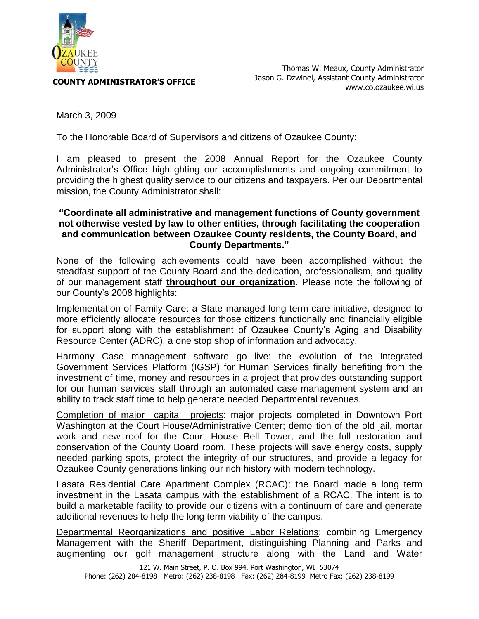

**COUNTY ADMINISTRATOR'S OFFICE**

March 3, 2009

To the Honorable Board of Supervisors and citizens of Ozaukee County:

I am pleased to present the 2008 Annual Report for the Ozaukee County Administrator's Office highlighting our accomplishments and ongoing commitment to providing the highest quality service to our citizens and taxpayers. Per our Departmental mission, the County Administrator shall:

## **"Coordinate all administrative and management functions of County government not otherwise vested by law to other entities, through facilitating the cooperation and communication between Ozaukee County residents, the County Board, and County Departments."**

None of the following achievements could have been accomplished without the steadfast support of the County Board and the dedication, professionalism, and quality of our management staff **throughout our organization**. Please note the following of our County's 2008 highlights:

Implementation of Family Care: a State managed long term care initiative, designed to more efficiently allocate resources for those citizens functionally and financially eligible for support along with the establishment of Ozaukee County's Aging and Disability Resource Center (ADRC), a one stop shop of information and advocacy.

Harmony Case management software go live: the evolution of the Integrated Government Services Platform (IGSP) for Human Services finally benefiting from the investment of time, money and resources in a project that provides outstanding support for our human services staff through an automated case management system and an ability to track staff time to help generate needed Departmental revenues.

Completion of major capital projects: major projects completed in Downtown Port Washington at the Court House/Administrative Center; demolition of the old jail, mortar work and new roof for the Court House Bell Tower, and the full restoration and conservation of the County Board room. These projects will save energy costs, supply needed parking spots, protect the integrity of our structures, and provide a legacy for Ozaukee County generations linking our rich history with modern technology.

Lasata Residential Care Apartment Complex (RCAC): the Board made a long term investment in the Lasata campus with the establishment of a RCAC. The intent is to build a marketable facility to provide our citizens with a continuum of care and generate additional revenues to help the long term viability of the campus.

Departmental Reorganizations and positive Labor Relations: combining Emergency Management with the Sheriff Department, distinguishing Planning and Parks and augmenting our golf management structure along with the Land and Water

121 W. Main Street, P. O. Box 994, Port Washington, WI 53074 Phone: (262) 284-8198 Metro: (262) 238-8198 Fax: (262) 284-8199 Metro Fax: (262) 238-8199